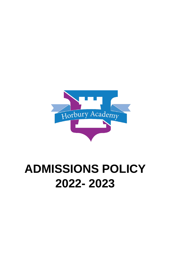

# **ADMISSIONS POLICY 2022- 2023**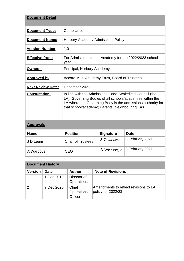| <b>Document Detail</b>   |                                                                                                                                                                                                                                        |  |  |
|--------------------------|----------------------------------------------------------------------------------------------------------------------------------------------------------------------------------------------------------------------------------------|--|--|
| <b>Document Type:</b>    | Compliance                                                                                                                                                                                                                             |  |  |
| <b>Document Name:</b>    | Horbury Academy Admissions Policy                                                                                                                                                                                                      |  |  |
| <b>Version Number</b>    | 1.0                                                                                                                                                                                                                                    |  |  |
| <b>Effective from:</b>   | For Admissions to the Academy for the 2022/2023 school<br>year                                                                                                                                                                         |  |  |
| <u>Owners:</u>           | Principal, Horbury Academy                                                                                                                                                                                                             |  |  |
| <b>Approved by</b>       | Accord Multi Academy Trust, Board of Trustees                                                                                                                                                                                          |  |  |
| <b>Next Review Date:</b> | December 2021                                                                                                                                                                                                                          |  |  |
| <b>Consultation:</b>     | In line with the Admissions Code: Wakefield Council (the<br>LA), Governing Bodies of all schools/academies within the<br>LA where the Governing Body is the admissions authority for<br>that school/academy; Parents; Neighbouring LAs |  |  |

### **Approvals**

| <b>Name</b> | <b>Position</b>          | <b>Signature</b> | <b>Date</b>                 |
|-------------|--------------------------|------------------|-----------------------------|
| J D Leam    | <b>Chair of Trustees</b> | J D Leam         | 8 February 2021             |
| A Warboys   | CEO                      |                  | A Warboyy   8 February 2021 |

| <b>Document History</b> |             |                                  |                                                               |  |  |  |  |
|-------------------------|-------------|----------------------------------|---------------------------------------------------------------|--|--|--|--|
| <b>Version</b>          | <b>Date</b> | <b>Author</b>                    | <b>Note of Revisions</b>                                      |  |  |  |  |
|                         | 1 Dec 2019  | Director of<br><b>Operations</b> |                                                               |  |  |  |  |
| $\overline{2}$          | 7 Dec 2020  | Chief<br>Operations<br>Officer   | Amendments to reflect revisions to LA<br>policy for $2022/23$ |  |  |  |  |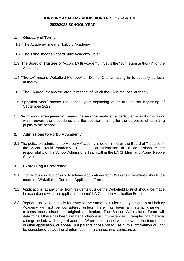# **HORBURY ACADEMY ADMISSIONS POLICY FOR THE 2022/2023 SCHOOL YEAR**

#### **1. Glossary of Terms**

- 1.1 "The Academy" means Horbury Academy
- 1.2 "The Trust" means Accord Multi Academy Trust
- 1.3 The Board of Trustees of Accord Multi Academy Trust is the "admission authority" for the Academy
- 1.4 "The LA" means Wakefield Metropolitan District Council acting in its capacity as local authority.
- 1.5 "The LA area" means the area in respect of which the LA is the local authority.
- 1.6 "Specified year" means the school year beginning at or around the beginning of September 2022.
- 1.7 "Admission arrangements" means the arrangements for a particular school or schools which govern the procedures and the decision making for the purposes of admitting pupils to the school.

#### **2. Admissions to Horbury Academy**

2.1 The policy on admission to Horbury Academy is determined by the Board of Trustees of the Accord Multi Academy Trust. The administration of all admissions is the responsibility of the School Admissions Team within the LA Children and Young People Service.

#### **3. Expressing a Preference**

- 3.1 For admission to Horbury Academy applications from Wakefield residents should be made on Wakefield's Common Application Form.
- 3.2 Applications, at any time, from residents outside the Wakefield District should be made in accordance with the applicant's "home" LA Common Application Form.
- 3.3 Repeat applications made for entry to the same oversubscribed year group at Horbury Academy will not be considered unless there has been a material change in circumstances since the original application. The School Admissions Team will determine if there has been a material change in circumstances. Examples of a material change include a change of address. Where information was known at the time of the original application, or appeal, but parents chose not to use it, this information will not be considered as additional information or a change in circumstances.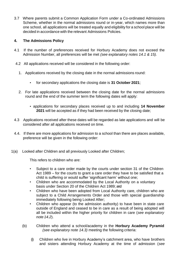3.7 Where parents submit a Common Application Form under a Co-ordinated Admissions Scheme, whether in the normal admissions round or in-year, which names more than one school, all applications will be treated equally and eligibility for a school place will be decided in accordance with the relevant Admissions Policies.

## **4. The Admissions Policy**

- 4.1 If the number of preferences received for Horbury Academy does not exceed the Admission Number, all preferences will be met *(see explanatory notes 14.1 & 15).*
- 4.2 All applications received will be considered in the following order:
	- 1. Applications received by the closing date in the normal admissions round:
		- for secondary applications the closing date is **31 October 2021**;
	- 2. For late applications received between the closing date for the normal admissions round and the end of the summer term the following dates will apply:
		- applications for secondary places received up to and including **14 November 2021** will be accepted as if they had been received by the closing date;
- 4.3 Applications received after these dates will be regarded as late applications and will be considered after all applications received on time.
- 4.4. If there are more applications for admission to a school than there are places available, preference will be given in the following order:
- 1(a) Looked after Children and all previously Looked after Children;

This refers to children who are:

- Subject to a care order made by the courts under section 31 of the Children Act 1989 – for the courts to grant a care order they have to be satisfied that a child is suffering or would suffer 'significant harm' without one;
- Children who are accommodated by the Local Authority on a voluntary basis under Section 20 of the Children Act 1989; and
- Children who have been adopted from Local Authority care, children who are subject to a Child Arrangements Order and those with special guardianship immediately following being Looked After;
- Children who appear (to the admission authority) to have been in state care outside of England and ceased to be in care as a result of being adopted will all be included within the higher priority for children in care (*see explanatory note 14.2*).
- (b) Children who attend a school/academy in the **Horbury Academy Pyramid**   *(see explanatory note 14.3)* meeting the following criteria:
	- (i) Children who live in Horbury Academy's catchment area, who have brothers and sisters attending Horbury Academy at the time of admission (*see*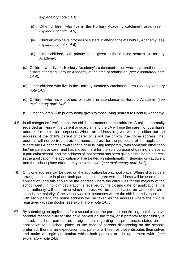*explanatory note 14.4*);

- (ii) Other children who live in the Horbury Academy catchment area (*see explanatory note 14.5*);
- (iii) Children who have brothers or sisters in attendance at Horbury Academy (*see explanatory note 14.6*);
- (iv) Other children, with priority being given to those living nearest to Horbury Academy;
- *(c)* Children who live in Horbury Academy's catchment area, who have brothers and sisters attending Horbury Academy at the time of admission (*see explanatory note 14.4);*
- (d) Other children who live in the Horbury Academy catchment area (*see explanatory note 14.5*);
- (e) Children who have brothers or sisters in attendance at Horbury Academy (*see explanatory note 14.6*);
- (f) Other children, with priority being given to those living nearest to Horbury Academy.
- 4.5 In all categories "live" means the child's permanent home address. A child is normally regarded as living with a parent or guardian and the LA will use the parent or guardian's address for admission purposes. Where an address is given which is either not the address of the child's parent or carer or is not the child's true home address, that address will not be treated as the home address for the purposes of the application. Where the LA becomes aware that a child is living temporarily with someone other than his/her parent or carer and has moved there for the sole purpose of gaining a place at a particular school, and the address of that person has been given as the home address in the application, the application will be treated as intentionally misleading or fraudulent and the school place offered may be withdrawn (*see explanatory note 14.7).*
- 4.6 Only one address can be used on the application for a school place. Where shared care arrangements are in place, both parents must agree which address will be used on the application, and this should be the address where the child lives for the majority of the school week. If no joint declaration is received by the closing date for applications, the local authority will determine which address will be used, based on where the child spends the majority of the school week. In instances where the child spends equal time with each parent, the home address will be taken as the address where the child is registered with the doctor (*see explanatory note 14.7)*.
- *4.7* By submitting an application for a school place, the parent is confirming that they have parental responsibility for the child named on the form, or if parental responsibility is shared, that both parents are in agreement regarding the preferences stated on the application for a school place. In the case of parents disagreeing on the schools preferred, there is an expectation that parents will resolve these disputes themselves and make a single application which both parents are in agreement with. (*see explanatory note 14.8)*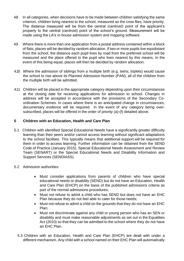- 4.8 In all categories, when decisions have to be made between children satisfying the same criterion, children living nearest to the school, measured as the crow flies, have priority. The distance measured will be from the central (centroid) point of the applicant's property to the central (centroid) point of the school's ground. Measurement will be made using the LA's in-house admission system and mapping software.
- 4.9 Where there is more than one application from a postal address contained within a block of flats, places will be decided by random allocation. If two or more pupils live equidistant from the school, the distance each pupil lives by road from the preferred school will be measured and the place offered to the pupil who lives nearest by this means. In the event of this being equal, places will then be decided by random allocation.
- 4.10 Where the admission of siblings from a multiple birth (e.g. twins, triplets) would cause the school to rise above its Planned Admission Number (PAN), all of the children from the multiple birth will be admitted.
- 4.11 Children will be placed in the appropriate category depending upon their circumstances at the closing date for receiving applications for admission to school. Changes in address will be accepted in accordance with the provisions of the Secondary Coordination Schemes. In cases where there is an anticipated change in circumstances, documentary evidence will be required. In the event of any category being oversubscribed, places will be offered in the order of priority (a)-(f) detailed above.

### **5 Children with an Education, Health and Care Plan**

- 5.1 Children with identified Special Educational Needs have a significantly greater difficulty learning than their peers and/or cannot access learning without significant adaptations to the school facilities. This typically means that additional support will be required for them in order to access learning. Further information can be obtained from the SEND Code of Practice (January 2015), Special Educational Needs Assessment and Review Team (SENART) or the Special Educational Needs and Disability Information and Support Services (SENDIASS).
- 5.2 Admission authorities:
	- Must consider applications from parents of children who have special educational needs or disability (SEND) but do not have an Education, Health and Care Plan (EHCP) on the basis of the published admissions criteria as part of the normal admissions procedures;
	- Must not refuse to admit a child who has SEND but does not have an EHC Plan because they do not feel able to cater for those needs;
	- Must not refuse to admit a child on the grounds that they do not have an EHC Plan;
	- Must not discriminate against any child or young person who has an SEN or disability and must make reasonable adjustments as set out in the Equalities Act (2010) so that they can be admitted to the school where they do not have an EHC Plan.
	- 5.3 Children with an Education, Health and Care Plan (EHCP) are dealt with under a different mechanism. Any child with a school named on their EHC Plan will automatically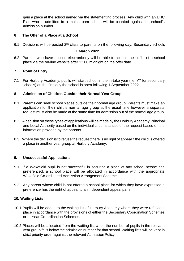gain a place at the school named via the statementing process. Any child with an EHC Plan who is admitted to a mainstream school will be counted against the school's admission number.

#### **6 The Offer of a Place at a School**

6.1 Decisions will be posted  $2^{nd}$  class to parents on the following day: Secondary schools

#### **1 March 2022**

6.2 Parents who have applied electronically will be able to access their offer of a school place via the on-line website after 12.00 midnight on the offer date.

#### **7 Point of Entry**

7.1 For Horbury Academy, pupils will start school in the in-take year (i.e. Y7 for secondary schools) on the first day the school is open following 1 September 2022.

#### **8 Admission of Children Outside their Normal Year Group**

- 8.1 Parents can seek school places outside their normal age group. Parents must make an application for their child's normal age group at the usual time however a separate request must also be made at the same time for admission out of the normal age group.
- 8.2 A decision on these types of applications will be made by the Horbury Academy Principal and Local Authority based on the individual circumstances of the request based on the information provided by the parents.
- 8.3 Where the decision is to refuse the request there is no right of appeal if the child is offered a place in another year group at Horbury Academy.

#### **9. Unsuccessful Applications**

- 9.1 If a Wakefield pupil is not successful in securing a place at any school he/she has preferenced, a school place will be allocated in accordance with the appropriate Wakefield Co-ordinated Admission Arrangement Scheme.
- 9.2 Any parent whose child is not offered a school place for which they have expressed a preference has the right of appeal to an independent appeal panel.

#### **10. Waiting Lists**

- 10.1 Pupils will be added to the waiting list of Horbury Academy where they were refused a place in accordance with the provisions of either the Secondary Coordination Schemes or In-Year Co-ordination Schemes.
- 10.2 Places will be allocated from the waiting list when the number of pupils in the relevant year group falls below the admission number for that school. Waiting lists will be kept in strict priority order against the relevant Admission Policy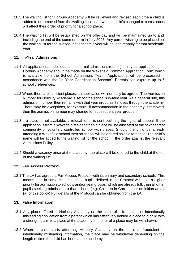- 10.3 The waiting list for Horbury Academy will be reviewed and revised each time a child is added to or removed from the waiting list and/or when a child's changed circumstances will affect their order of priority for a school place.
- 10.4 The waiting list will be established on the offer day and will be maintained up to and including the end of the summer term in July 2023. Any parent wishing to be placed on the waiting list for the subsequent academic year will have to reapply for that academic year.

#### **11. In-Year Admissions**

- 11.1 All applications made outside the normal admissions round (i.e. in-year applications) for Horbury Academy should be made on the Wakefield Common Application Form, which is available from the School Admissions Team. Applications will be processed in accordance with the "In Year Coordination Scheme". Parents can express up to 5 school preferences.
- 11.2 Where there are sufficient places, an application will normally be agreed. The Admission Number for Horbury Academy is set for the school's in-take year. As a general rule, this admission number then remains with that year group as it moves through the academy. There may be exceptions, for example, if accommodation in the academy is removed, then the admission number may change for subsequent year groups.
- 11.3 If a place is not available, a refusal letter is sent outlining the rights of appeal. If the application is from a Wakefield resident then a place will be allocated at the next nearest community or voluntary controlled school with places. Should the child be already attending a Wakefield school then no school will be offered as an alternative. The child's name will be added to the waiting list for the school in the order against the relevant Admissions Policy.
- 11.4 Should a vacancy arise at the academy, the place will be offered to the child at the top of the waiting list.

#### **12. Fair Access Protocol**

12.1 The LA has agreed a Fair Access Protocol with its primary and secondary schools. This means that, in some circumstances, pupils defined in the Protocol will have a higher priority for admission to schools and/or year groups, which are already full, than all other pupils seeking admission to that school. (e.g. Children in Care as per definition at 4.4 (a) of this policy) Full details of the Protocol can be obtained from the LA.

#### **13. False Information**

- 13.1 Any place offered at Horbury Academy on the basis of a fraudulent or intentionally misleading application from a parent which has effectively denied a place to a child with a stronger claim to a place at the academy, the offer of a place may be withdrawn.
- 13.2 Where a child starts attending Horbury Academy on the basis of fraudulent or intentionally misleading information, the place may be withdrawn depending on the length of time the child has been at the academy.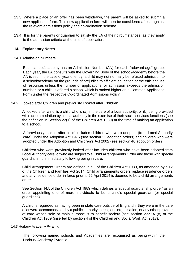- 13.3 Where a place or an offer has been withdrawn, the parent will be asked to submit a new application form. This new application form will then be considered afresh against the relevant admissions policy and co-ordination scheme.
- 13.4 It is for the parents or guardian to satisfy the LA of their circumstances, as they apply to the admission criteria at the time of application.

#### **14. Explanatory Notes**

14.1 Admission Numbers

Each school/academy has an Admission Number (AN) for each "relevant age" group. Each year, the LA consults with the Governing Body of the school/academy before the AN is set. In the case of year of entry, a child may not normally be refused admission to a school/academy on the grounds of prejudice to efficient education or the efficient use of resources unless the number of applications for admission exceeds the admission number, or a child is offered a school which is ranked higher on a Common Application Form under the respective Co-ordinated Admissions Policy.

14.2 Looked after Children and previously Looked after Children

A 'looked after child' is a child who is (a) in the care of a local authority, or (b) being provided with accommodation by a local authority in the exercise of their social services functions (see the definition in Section 22(1) of the Children Act 1989) at the time of making an application to a school.

A 'previously looked after child' includes children who were adopted (from Local Authority care) under the Adoption Act 1976 (see section 12 adoption orders) and children who were adopted under the Adoption and Children's Act 2002 (see section 46 adoption orders).

Children who were previously looked after includes children who have been adopted from Local Authority care, or who are subject to a Child Arrangements Order and those with special guardianship immediately following being in care.

Child Arrangement Orders are defined in s.8 of the Children Act 1989, as amended by s.12 of the Children and Families Act 2014. Child arrangements orders replace residence orders and any residence order in force prior to 22 April 2014 is deemed to be a child arrangements order.

See Section 14A of the Children Act 1989 which defines a 'special guardianship order' as an order appointing one of more individuals to be a child's special guardian (or special guardians).

A child is regarded as having been in state care outside of England if they were in the care of or were accommodated by a public authority, a religious organisation, or any other provider of care whose sole or main purpose is to benefit society (see section 23ZZA (8) of the Children Act 1989 (inserted by section 4 of the Children and Social Work Act 2017).

#### 14.3 Horbury Academy Pyramid

The following named schools and Academies are recognised as being within the Horbury Academy Pyramid: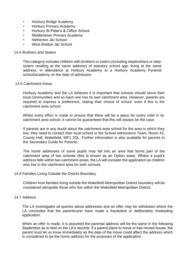- Horbury Bridge Academy
- Horbury Primary Academy
- Horbury St Peter's & Clifton School
- Middlestown Primary Academy
- Netherton J&I School
- West Bretton J&I School

#### 14.4 Brothers and Sisters

This category includes children with brothers or sisters (including stepbrothers or stepsisters residing at the same address) of statutory school age, living at the same address, in attendance at Horbury Academy or a Horbury Academy Pyramid school/academy on the date of admission.

#### 14.5 Catchment Areas

Horbury Academy and the LA believes it is important that schools should serve their local communities and so each one has its own catchment area. However, parents are required to express a preference, stating their choice of school, even if this is the catchment area school.

Whilst every effort is made to ensure that there will be a place for every child in its catchment area school, it cannot be guaranteed that this will always be the case.

If parents are in any doubt about the catchment area school for the area in which they live, they need to contact their local school or the School Admissions Team, Room 42, County Hall, Wakefield, WF1 2QL. Further information is also available for parents in the Secondary Guide for Parents.

The home addresses of some pupils may fall into an area that forms part of the catchment area of two schools (this is known as an Option area). Where a pupil's address falls within two catchment areas, the LA will consider the application as children who live in the catchment area for both schools.

#### 14.6 Families Living Outside the District Boundary

Children from families living outside the Wakefield Metropolitan District boundary will be considered alongside those who live within the Wakefield Metropolitan District.

#### 14.7 Address

The LA investigates all queries about addresses and an offer may be withdrawn where the LA concludes that the parent/carer have made a fraudulent or deliberately misleading application.

When an offer is made, it is assumed the parental address will be the same in the following September as is held on the LA's records. If a parent plans to move or has moved house, the parent must let us know immediately as the date of the move could affect the address which is considered to be the home address for the purposes of the application.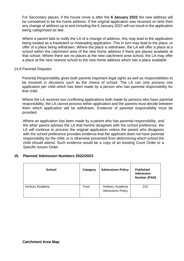For Secondary places, if the house move is after the **6 January 2022** the new address will be considered to be the home address. If the original application was received on time then any change of address up to and including the 6 January 2022 will not result in the application being categorised as late.

Where a parent fails to notify the LA of a change of address, this may lead to the application being treated as a fraudulent or misleading application. This in turn may lead to the place, or offer of a place being withdrawn. Where the place is withdrawn, the LA will offer a place at a school within the catchment area of the new home address if there are places available at that school. Where there are no places at the new catchment area school, the LA may offer a place at the next nearest school to the new home address which has a place available.

#### 14.8 Parental Disputes

Parental Responsibility gives both parents important legal rights as well as responsibilities to be involved in decisions such as the choice of school. The LA can only process one application per child which has been made by a person who has parental responsibility for that child.

Where the LA receives two conflicting applications both made by persons who have parental responsibility, the LA cannot process either application and the parents must decide between them which application will be withdrawn. Evidence of parental responsibility must be provided.

Where an application has been made by a parent who has parental responsibility, and the other parent advises the LA that he/she disagrees with the school preference, the LA will continue to process the original application unless the parent who disagrees with the school preference provides evidence that the applicant does not have parental responsibility for the child, or is otherwise prevented from determining which school the child should attend. Such evidence would be a copy of an existing Court Order or a Specific Issues Order.

#### **15. Planned Admission Numbers 2022/2023**

| <b>School</b>   | Category | <b>Admissions Policy</b>                    | <b>Published</b><br><b>Admission</b><br><b>Number (PAN)</b> |
|-----------------|----------|---------------------------------------------|-------------------------------------------------------------|
| Horbury Academy | Trust    | Horbury Academy<br><b>Admissions Policy</b> | 210                                                         |